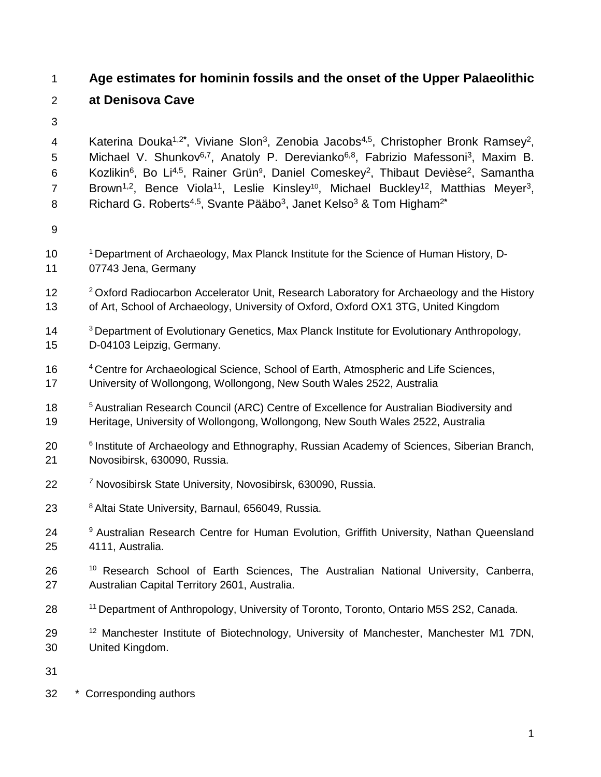# **Age estimates for hominin fossils and the onset of the Upper Palaeolithic**

# **at Denisova Cave**

4 Katerina Douka<sup>1,2\*</sup>, Viviane Slon<sup>3</sup>, Zenobia Jacobs<sup>4,5</sup>, Christopher Bronk Ramsey<sup>2</sup>, 5 Michael V. Shunkov<sup>6,7</sup>, Anatoly P. Derevianko<sup>6,8</sup>, Fabrizio Mafessoni<sup>3</sup>, Maxim B. 6 Kozlikin<sup>6</sup>, Bo Li<sup>4,5</sup>, Rainer Grün<sup>9</sup>, Daniel Comeskey<sup>2</sup>, Thibaut Devièse<sup>2</sup>, Samantha 7 Brown<sup>1,2</sup>, Bence Viola<sup>11</sup>, Leslie Kinsley<sup>10</sup>, Michael Buckley<sup>12</sup>, Matthias Meyer<sup>3</sup>, Richard G. Roberts4,5, Svante Pääbo3, Janet Kelso3 & Tom Higham2**\***

- 
- 10 <sup>1</sup> Department of Archaeology, Max Planck Institute for the Science of Human History, D-07743 Jena, Germany
- 12 <sup>2</sup> Oxford Radiocarbon Accelerator Unit, Research Laboratory for Archaeology and the History of Art, School of Archaeology, University of Oxford, Oxford OX1 3TG, United Kingdom
- <sup>3</sup> Department of Evolutionary Genetics, Max Planck Institute for Evolutionary Anthropology, D-04103 Leipzig, Germany.
- 16 <sup>4</sup> Centre for Archaeological Science, School of Earth, Atmospheric and Life Sciences, University of Wollongong, Wollongong, New South Wales 2522, Australia
- <sup>5</sup> Australian Research Council (ARC) Centre of Excellence for Australian Biodiversity and Heritage, University of Wollongong, Wollongong, New South Wales 2522, Australia
- <sup>6</sup> Institute of Archaeology and Ethnography, Russian Academy of Sciences, Siberian Branch, Novosibirsk, 630090, Russia.
- *<sup>7</sup>* Novosibirsk State University, Novosibirsk, 630090, Russia.
- 23 <sup>8</sup> Altai State University, Barnaul, 656049, Russia.
- 24 <sup>9</sup> Australian Research Centre for Human Evolution, Griffith University, Nathan Queensland 4111, Australia.
- 26 <sup>10</sup> Research School of Earth Sciences, The Australian National University, Canberra, Australian Capital Territory 2601, Australia.
- 11 Department of Anthropology, University of Toronto, Toronto, Ontario M5S 2S2, Canada.
- 29 <sup>12</sup> Manchester Institute of Biotechnology, University of Manchester, Manchester M1 7DN, United Kingdom.
- 
- \* Corresponding authors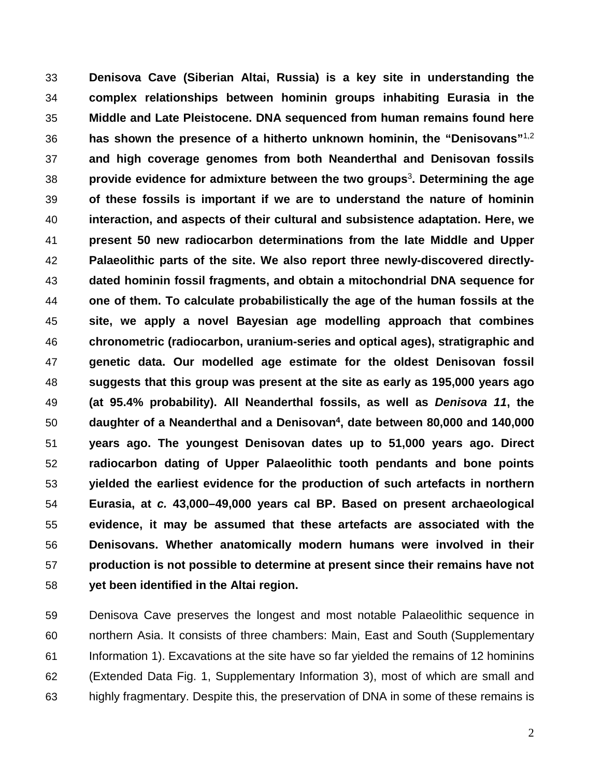**Denisova Cave (Siberian Altai, Russia) is a key site in understanding the complex relationships between hominin groups inhabiting Eurasia in the Middle and Late Pleistocene. DNA sequenced from human remains found here has shown the presence of a hitherto unknown hominin, the "Denisovans"**[1,](https://paperpile.com/c/KfZ0J5/3y9g)[2](https://paperpile.com/c/KfZ0J5/VpZF) **and high coverage genomes from both Neanderthal and Denisovan fossils provide evidence for admixture between the two groups**[3](https://paperpile.com/c/KfZ0J5/n3i1) **. Determining the age of these fossils is important if we are to understand the nature of hominin interaction, and aspects of their cultural and subsistence adaptation. Here, we present 50 new radiocarbon determinations from the late Middle and Upper Palaeolithic parts of the site. We also report three newly-discovered directly- dated hominin fossil fragments, and obtain a mitochondrial DNA sequence for one of them. To calculate probabilistically the age of the human fossils at the site, we apply a novel Bayesian age modelling approach that combines chronometric (radiocarbon, uranium-series and optical ages), stratigraphic and genetic data. Our modelled age estimate for the oldest Denisovan fossil suggests that this group was present at the site as early as 195,000 years ago (at 95.4% probability). All Neanderthal fossils, as well as** *Denisova 11***, the daughter of a Neanderthal and a Denisovan4 , date between 80,000 and 140,000 years ago. The youngest Denisovan dates up to 51,000 years ago. Direct radiocarbon dating of Upper Palaeolithic tooth pendants and bone points yielded the earliest evidence for the production of such artefacts in northern Eurasia, at** *c.* **43,000–49,000 years cal BP. Based on present archaeological evidence, it may be assumed that these artefacts are associated with the Denisovans. Whether anatomically modern humans were involved in their production is not possible to determine at present since their remains have not yet been identified in the Altai region.**

 Denisova Cave preserves the longest and most notable Palaeolithic sequence in northern Asia. It consists of three chambers: Main, East and South (Supplementary Information 1). Excavations at the site have so far yielded the remains of 12 hominins (Extended Data Fig. 1, Supplementary Information 3), most of which are small and highly fragmentary. Despite this, the preservation of DNA in some of these remains is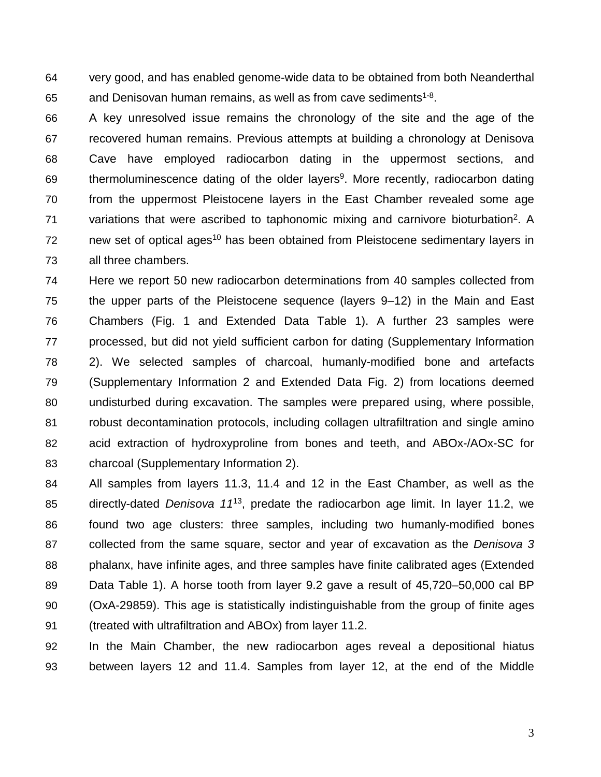very good, and has enabled genome-wide data to be obtained from both Neanderthal 65 and Denisovan human remains, as well as from cave sediments<sup>1-8</sup>.

 A key unresolved issue remains the chronology of the site and the age of the recovered human remains. Previous attempts at building a chronology at Denisova Cave have employed radiocarbon dating in the uppermost sections, and 69 thermoluminescence dating of the older layers<sup>9</sup>. More recently, radiocarbon dating from the uppermost Pleistocene layers in the East Chamber revealed some age variations that were ascribed to taphonomic mixing and carnivore bioturbation<sup>2</sup>. A 72 hew set of optical ages<sup>10</sup> has been obtained from Pleistocene sedimentary layers in all three chambers.

 Here we report 50 new radiocarbon determinations from 40 samples collected from the upper parts of the Pleistocene sequence (layers 9–12) in the Main and East Chambers (Fig. 1 and Extended Data Table 1). A further 23 samples were processed, but did not yield sufficient carbon for dating (Supplementary Information 2). We selected samples of charcoal, humanly-modified bone and artefacts (Supplementary Information 2 and Extended Data Fig. 2) from locations deemed undisturbed during excavation. The samples were prepared using, where possible, robust decontamination protocols, including collagen ultrafiltration and single amino acid extraction of hydroxyproline from bones and teeth, and ABOx-/AOx-SC for charcoal (Supplementary Information 2).

 All samples from layers 11.3, 11.4 and 12 in the East Chamber, as well as the 85 directly-dated *Denisova 11*<sup>13</sup>, predate the radiocarbon age limit. In layer 11.2, we found two age clusters: three samples, including two humanly-modified bones collected from the same square, sector and year of excavation as the *Denisova 3* phalanx, have infinite ages, and three samples have finite calibrated ages (Extended Data Table 1). A horse tooth from layer 9.2 gave a result of 45,720–50,000 cal BP (OxA-29859). This age is statistically indistinguishable from the group of finite ages (treated with ultrafiltration and ABOx) from layer 11.2.

 In the Main Chamber, the new radiocarbon ages reveal a depositional hiatus between layers 12 and 11.4. Samples from layer 12, at the end of the Middle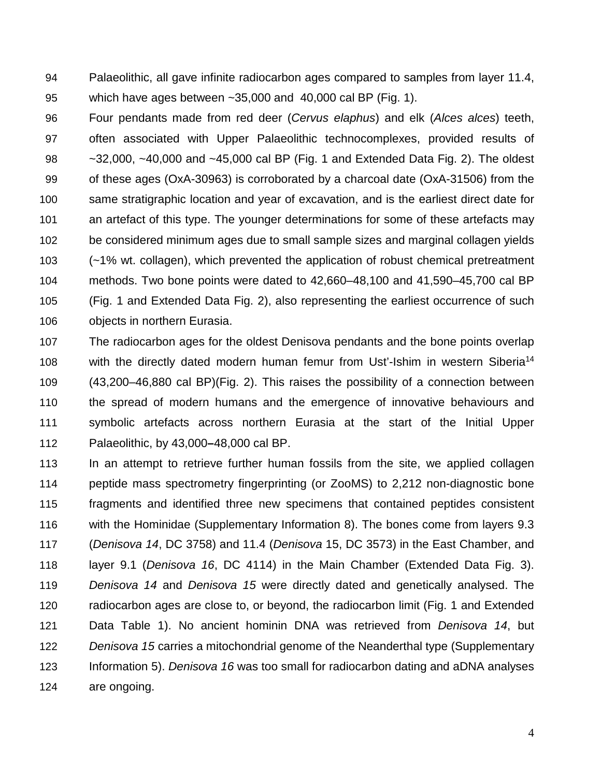Palaeolithic, all gave infinite radiocarbon ages compared to samples from layer 11.4, which have ages between ~35,000 and 40,000 cal BP (Fig. 1).

 Four pendants made from red deer (*Cervus elaphus*) and elk (*Alces alces*) teeth, often associated with Upper Palaeolithic technocomplexes, provided results of ~32,000, ~40,000 and ~45,000 cal BP (Fig. 1 and Extended Data Fig. 2). The oldest of these ages (OxA-30963) is corroborated by a charcoal date (OxA-31506) from the same stratigraphic location and year of excavation, and is the earliest direct date for an artefact of this type. The younger determinations for some of these artefacts may be considered minimum ages due to small sample sizes and marginal collagen yields (~1% wt. collagen), which prevented the application of robust chemical pretreatment methods. Two bone points were dated to 42,660–48,100 and 41,590–45,700 cal BP (Fig. 1 and Extended Data Fig. 2), also representing the earliest occurrence of such objects in northern Eurasia.

 The radiocarbon ages for the oldest Denisova pendants and the bone points overlap 108 with the directly dated modern human femur from Ust'-Ishim in western Siberia<sup>14</sup> (43,200–46,880 cal BP)(Fig. 2). This raises the possibility of a connection between the spread of modern humans and the emergence of innovative behaviours and symbolic artefacts across northern Eurasia at the start of the Initial Upper Palaeolithic, by 43,000**–**48,000 cal BP.

 In an attempt to retrieve further human fossils from the site, we applied collagen peptide mass spectrometry fingerprinting (or ZooMS) to 2,212 non-diagnostic bone fragments and identified three new specimens that contained peptides consistent with the Hominidae (Supplementary Information 8). The bones come from layers 9.3 (*Denisova 14*, DC 3758) and 11.4 (*Denisova* 15, DC 3573) in the East Chamber, and layer 9.1 (*Denisova 16*, DC 4114) in the Main Chamber (Extended Data Fig. 3). *Denisova 14* and *Denisova 15* were directly dated and genetically analysed. The radiocarbon ages are close to, or beyond, the radiocarbon limit (Fig. 1 and Extended Data Table 1). No ancient hominin DNA was retrieved from *Denisova 14*, but *Denisova 15* carries a mitochondrial genome of the Neanderthal type (Supplementary Information 5). *Denisova 16* was too small for radiocarbon dating and aDNA analyses are ongoing.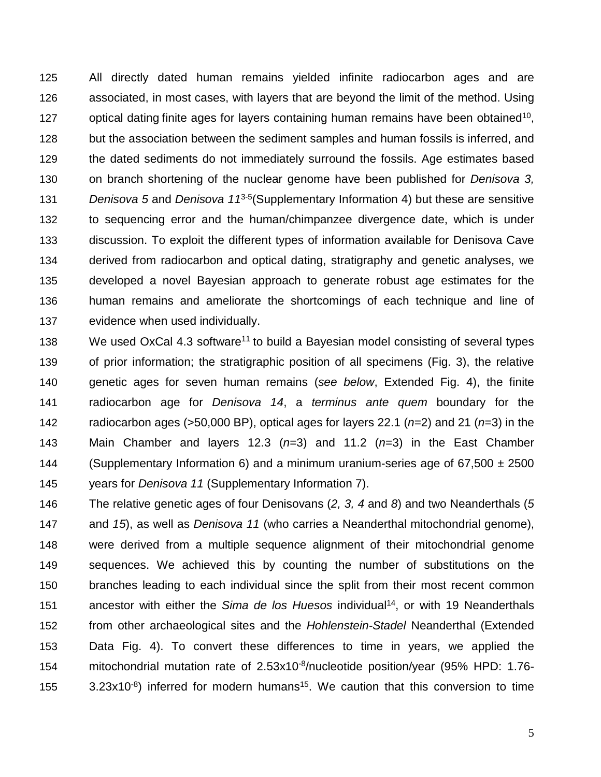All directly dated human remains yielded infinite radiocarbon ages and are associated, in most cases, with layers that are beyond the limit of the method. Using 127 optical dating finite ages for layers containing human remains have been obtained<sup>10</sup>, but the association between the sediment samples and human fossils is inferred, and the dated sediments do not immediately surround the fossils. Age estimates based on branch shortening of the nuclear genome have been published for *Denisova 3, Denisova 5* and *Denisova 11<sup>3-5</sup>* (Supplementary Information 4) but these are sensitive to sequencing error and the human/chimpanzee divergence date, which is under discussion. To exploit the different types of information available for Denisova Cave derived from radiocarbon and optical dating, stratigraphy and genetic analyses, we developed a novel Bayesian approach to generate robust age estimates for the human remains and ameliorate the shortcomings of each technique and line of evidence when used individually.

138 We used OxCal 4.3 software<sup>11</sup> to build a Bayesian model consisting of several types of prior information; the stratigraphic position of all specimens (Fig. 3), the relative genetic ages for seven human remains (*see below*, Extended Fig. 4), the finite radiocarbon age for *Denisova 14*, a *terminus ante quem* boundary for the radiocarbon ages (>50,000 BP), optical ages for layers 22.1 (*n*=2) and 21 (*n*=3) in the Main Chamber and layers 12.3 (*n*=3) and 11.2 (*n*=3) in the East Chamber 144 (Supplementary Information 6) and a minimum uranium-series age of  $67,500 \pm 2500$ years for *Denisova 11* (Supplementary Information 7).

 The relative genetic ages of four Denisovans (*2, 3, 4* and *8*) and two Neanderthals (*5* and *15*), as well as *Denisova 11* (who carries a Neanderthal mitochondrial genome), were derived from a multiple sequence alignment of their mitochondrial genome sequences. We achieved this by counting the number of substitutions on the branches leading to each individual since the split from their most recent common 151 ancestor with either the *Sima de los Huesos* individual<sup>14</sup>, or with 19 Neanderthals from other archaeological sites and the *Hohlenstein-Stadel* Neanderthal (Extended Data Fig. 4). To convert these differences to time in years, we applied the 154 mitochondrial mutation rate of  $2.53 \times 10^{-8}$ /nucleotide position/year (95% HPD: 1.76-3.23x10<sup>-8</sup>) inferred for modern humans<sup>15</sup>. We caution that this conversion to time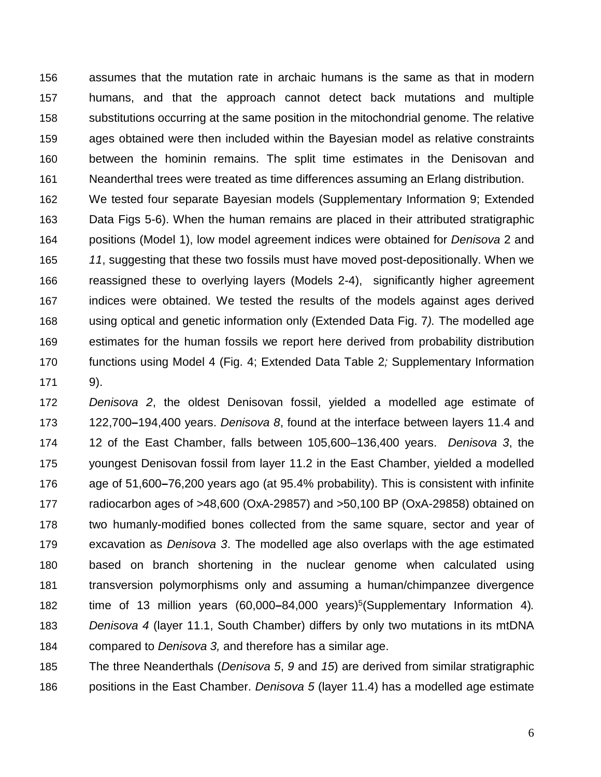assumes that the mutation rate in archaic humans is the same as that in modern humans, and that the approach cannot detect back mutations and multiple substitutions occurring at the same position in the mitochondrial genome. The relative ages obtained were then included within the Bayesian model as relative constraints between the hominin remains. The split time estimates in the Denisovan and Neanderthal trees were treated as time differences assuming an Erlang distribution.

 We tested four separate Bayesian models (Supplementary Information 9; Extended Data Figs 5-6). When the human remains are placed in their attributed stratigraphic positions (Model 1), low model agreement indices were obtained for *Denisova* 2 and *11*, suggesting that these two fossils must have moved post-depositionally. When we reassigned these to overlying layers (Models 2-4), significantly higher agreement indices were obtained. We tested the results of the models against ages derived using optical and genetic information only (Extended Data Fig. 7*).* The modelled age estimates for the human fossils we report here derived from probability distribution functions using Model 4 (Fig. 4; Extended Data Table 2*;* Supplementary Information 9).

 *Denisova 2*, the oldest Denisovan fossil, yielded a modelled age estimate of 122,700**–**194,400 years. *Denisova 8*, found at the interface between layers 11.4 and 12 of the East Chamber, falls between 105,600–136,400 years. *Denisova 3*, the youngest Denisovan fossil from layer 11.2 in the East Chamber, yielded a modelled age of 51,600**–**76,200 years ago (at 95.4% probability). This is consistent with infinite radiocarbon ages of >48,600 (OxA-29857) and >50,100 BP (OxA-29858) obtained on two humanly-modified bones collected from the same square, sector and year of excavation as *Denisova 3*. The modelled age also overlaps with the age estimated based on branch shortening in the nuclear genome when calculated using transversion polymorphisms only and assuming a human/chimpanzee divergence time of 13 million years (60,000–84,000 years)<sup>5</sup> (Supplementary Information 4). *Denisova 4* (layer 11.1, South Chamber) differs by only two mutations in its mtDNA compared to *Denisova 3,* and therefore has a similar age.

 The three Neanderthals (*Denisova 5*, *9* and *15*) are derived from similar stratigraphic positions in the East Chamber. *Denisova 5* (layer 11.4) has a modelled age estimate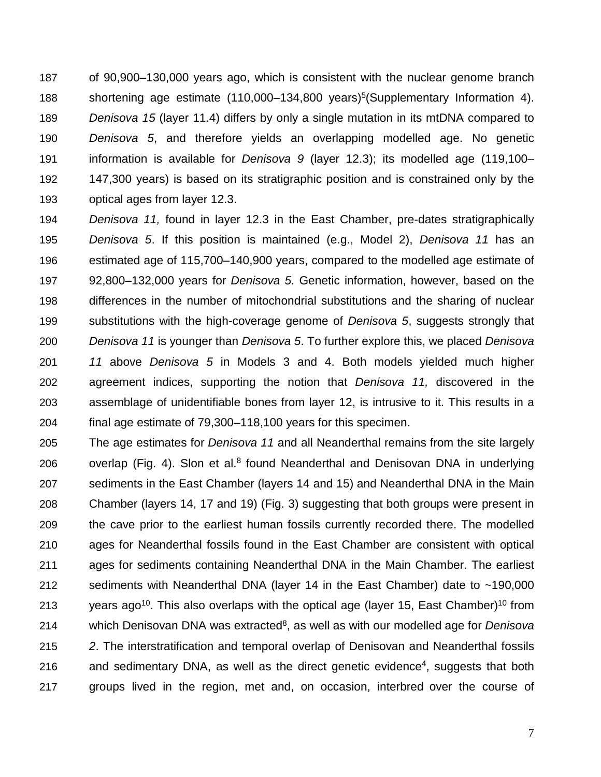of 90,900–130,000 years ago, which is consistent with the nuclear genome branch 188 shortening age estimate (110,000–134,800 years)<sup>5</sup> (Supplementary Information 4). *Denisova 15* (layer 11.4) differs by only a single mutation in its mtDNA compared to *Denisova 5*, and therefore yields an overlapping modelled age. No genetic information is available for *Denisova 9* (layer 12.3); its modelled age (119,100– 147,300 years) is based on its stratigraphic position and is constrained only by the optical ages from layer 12.3.

 *Denisova 11,* found in layer 12.3 in the East Chamber, pre-dates stratigraphically *Denisova 5*. If this position is maintained (e.g., Model 2), *Denisova 11* has an estimated age of 115,700–140,900 years, compared to the modelled age estimate of 92,800–132,000 years for *Denisova 5.* Genetic information, however, based on the differences in the number of mitochondrial substitutions and the sharing of nuclear substitutions with the high-coverage genome of *Denisova 5*, suggests strongly that *Denisova 11* is younger than *Denisova 5*. To further explore this, we placed *Denisova 11* above *Denisova 5* in Models 3 and 4. Both models yielded much higher agreement indices, supporting the notion that *Denisova 11,* discovered in the assemblage of unidentifiable bones from layer 12, is intrusive to it. This results in a final age estimate of 79,300–118,100 years for this specimen.

 The age estimates for *Denisova 11* and all Neanderthal remains from the site largely 206 overlap (Fig. 4). Slon et al.<sup>8</sup> found Neanderthal and Denisovan DNA in underlying sediments in the East Chamber (layers 14 and 15) and Neanderthal DNA in the Main Chamber (layers 14, 17 and 19) (Fig. 3) suggesting that both groups were present in the cave prior to the earliest human fossils currently recorded there. The modelled ages for Neanderthal fossils found in the East Chamber are consistent with optical ages for sediments containing Neanderthal DNA in the Main Chamber. The earliest sediments with Neanderthal DNA (layer 14 in the East Chamber) date to ~190,000 213 years ago<sup>10</sup>. This also overlaps with the optical age (layer 15, East Chamber)<sup>10</sup> from 214 which Denisovan DNA was extracted<sup>8</sup>, as well as with our modelled age for *Denisova 2*. The interstratification and temporal overlap of Denisovan and Neanderthal fossils 216 and sedimentary DNA, as well as the direct genetic evidence<sup>4</sup>, suggests that both groups lived in the region, met and, on occasion, interbred over the course of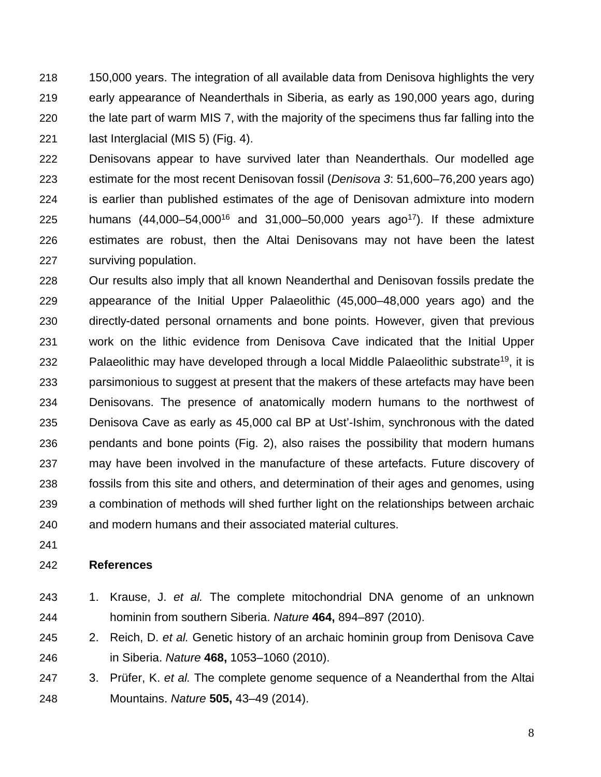150,000 years. The integration of all available data from Denisova highlights the very early appearance of Neanderthals in Siberia, as early as 190,000 years ago, during the late part of warm MIS 7, with the majority of the specimens thus far falling into the last Interglacial (MIS 5) (Fig. 4).

 Denisovans appear to have survived later than Neanderthals. Our modelled age estimate for the most recent Denisovan fossil (*Denisova 3*: 51,600–76,200 years ago) is earlier than published estimates of the age of Denisovan admixture into modern 225 humans  $(44,000-54,000^{16}$  and  $31,000-50,000$  years ago<sup>17</sup>). If these admixture estimates are robust, then the Altai Denisovans may not have been the latest surviving population.

 Our results also imply that all known Neanderthal and Denisovan fossils predate the appearance of the Initial Upper Palaeolithic (45,000–48,000 years ago) and the directly-dated personal ornaments and bone points. However, given that previous work on the lithic evidence from Denisova Cave indicated that the Initial Upper 232 Palaeolithic may have developed through a local Middle Palaeolithic substrate<sup>19</sup>, it is parsimonious to suggest at present that the makers of these artefacts may have been Denisovans. The presence of anatomically modern humans to the northwest of Denisova Cave as early as 45,000 cal BP at Ust'-Ishim, synchronous with the dated pendants and bone points (Fig. 2), also raises the possibility that modern humans may have been involved in the manufacture of these artefacts. Future discovery of fossils from this site and others, and determination of their ages and genomes, using a combination of methods will shed further light on the relationships between archaic and modern humans and their associated material cultures.

#### **References**

- 1. Krause, J. *et al.* The complete mitochondrial DNA genome of an unknown hominin from southern Siberia. *Natur[e](http://paperpile.com/b/KfZ0J5/3y9g)* **464,** 894–897 (2010).
- 2. Reich, D. *et al.* Genetic history of an archaic hominin group from Denisova Cave in Siberia. *Natur[e](http://paperpile.com/b/KfZ0J5/VpZF)* **468,** 1053–1060 (2010).
- 3. Prüfer, K. *et al.* The complete genome sequence of a Neanderthal from the Altai Mountains. *Nature* **[5](http://paperpile.com/b/KfZ0J5/n3i1)05,** 43–49 (2014).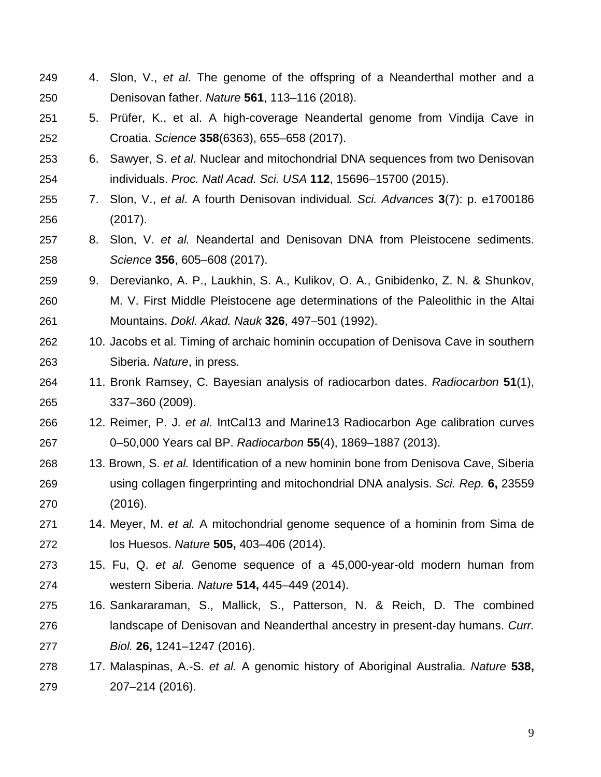- 4. Slon, V., *et al*. The genome of the offspring of a Neanderthal mother and a Denisovan father. *Nature* **561**, 113–116 (2018).
- 5. Prüfer, K., et al. A high-coverage Neandertal genome from Vindija Cave in Croatia. *Science* **358**(6363), 655–658 (2017).
- 6. Sawyer, S. *et al*. Nuclear and mitochondrial DNA sequences from two Denisovan individuals. *Proc. Natl Acad. Sci. USA* **112**, 15696–15700 (2015).
- 7. Slon, V., *et al*. A fourth Denisovan individual*. Sci. Advances* **3**(7): p. e1700186 (2017).
- 8. Slon, V. *et al.* Neandertal and Denisovan DNA from Pleistocene sediments. *Science* **356**, 605–608 (2017).
- 9. Derevianko, A. P., Laukhin, S. A., Kulikov, O. A., Gnibidenko, Z. N. & Shunkov, M. V. First Middle Pleistocene age determinations of the Paleolithic in the Altai Mountains. *Dokl. Akad. Nauk* **326**, 497–501 (1992).
- 10. Jacobs et al. Timing of archaic hominin occupation of Denisova Cave in southern Siberia. *Nature*, in press.
- 11. Bronk Ramsey, C. Bayesian analysis of radiocarbon dates. *Radiocarbon* **51**(1), 337–360 (2009).
- 12. Reimer, P. J. *et al*. IntCal13 and Marine13 Radiocarbon Age calibration curves 0–50,000 Years cal BP. *Radiocarbon* **55**(4), 1869–1887 (2013).
- 13. Brown, S. *et al.* Identification of a new hominin bone from Denisova Cave, Siberia using collagen fingerprinting and mitochondrial DNA analysis. *Sci. Rep[.](http://paperpile.com/b/KfZ0J5/MrZK)* **6,** 23559 (2016).
- 14. Meyer, M. *et al.* A mitochondrial genome sequence of a hominin from Sima de los Huesos. *Nature* **[5](http://paperpile.com/b/KfZ0J5/mbKO)05,** 403–406 (2014).
- 15. Fu, Q. *et al.* Genome sequence of a 45,000-year-old modern human from western Siberia. *Natur[e](http://paperpile.com/b/KfZ0J5/yVQR)* **514,** 445–449 (2014).
- 16. Sankararaman, S., Mallick, S., Patterson, N. & Reich, D. The combined landscape of Denisovan and Neanderthal ancestry in present-day humans. *Curr. Biol[.](http://paperpile.com/b/KfZ0J5/7MFp)* **26,** 1241–1247 (2016).
- 17. Malaspinas, A.-S. *et al.* A genomic history of Aboriginal Australia. *Natur[e](http://paperpile.com/b/KfZ0J5/3VBj)* **538,** 207–214 (2016).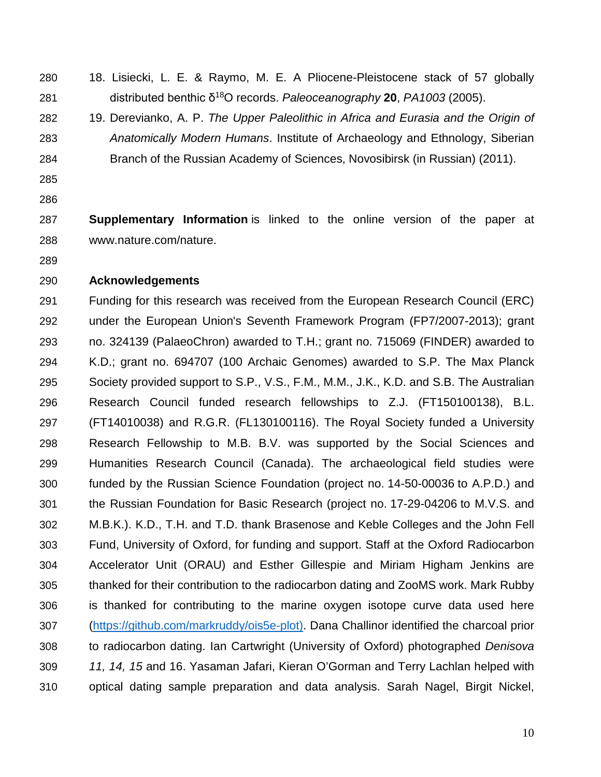- 
- 18. Lisiecki, L. E. & Raymo, M. E. A Pliocene-Pleistocene stack of 57 globally distributed benthic δ 18O records. *Paleoceanography* **20**, *PA1003* (2005).
- 19. Derevianko, A. P. *The Upper Paleolithic in Africa and Eurasia and the Origin of Anatomically Modern Humans*. Institute of Archaeology and Ethnology, Siberian Branch of the Russian Academy of Sciences, Novosibirsk (in Russian) (2011).
- 
- 

 **Supplementary Information** is linked to the online version of the paper at www.nature.com/nature.

#### **Acknowledgements**

 Funding for this research was received from the European Research Council (ERC) under the European Union's Seventh Framework Program (FP7/2007-2013); grant no. 324139 (PalaeoChron) awarded to T.H.; grant no. 715069 (FINDER) awarded to K.D.; grant no. 694707 (100 Archaic Genomes) awarded to S.P. The Max Planck Society provided support to S.P., V.S., F.M., M.M., J.K., K.D. and S.B. The Australian Research Council funded research fellowships to Z.J. (FT150100138), B.L. (FT14010038) and R.G.R. (FL130100116). The Royal Society funded a University Research Fellowship to M.B. B.V. was supported by the Social Sciences and Humanities Research Council (Canada). The archaeological field studies were funded by the Russian Science Foundation (project no. 14-50-00036 to A.P.D.) and the Russian Foundation for Basic Research (project no. 17-29-04206 to M.V.S. and M.B.K.). K.D., T.H. and T.D. thank Brasenose and Keble Colleges and the John Fell Fund, University of Oxford, for funding and support. Staff at the Oxford Radiocarbon Accelerator Unit (ORAU) and Esther Gillespie and Miriam Higham Jenkins are thanked for their contribution to the radiocarbon dating and ZooMS work. Mark Rubby is thanked for contributing to the marine oxygen isotope curve data used here [\(https://github.com/markruddy/ois5e-plot\)](https://github.com/markruddy/ois5e-plot). Dana Challinor identified the charcoal prior to radiocarbon dating. Ian Cartwright (University of Oxford) photographed *Denisova 11, 14, 15* and 16. Yasaman Jafari, Kieran O'Gorman and Terry Lachlan helped with optical dating sample preparation and data analysis. Sarah Nagel, Birgit Nickel,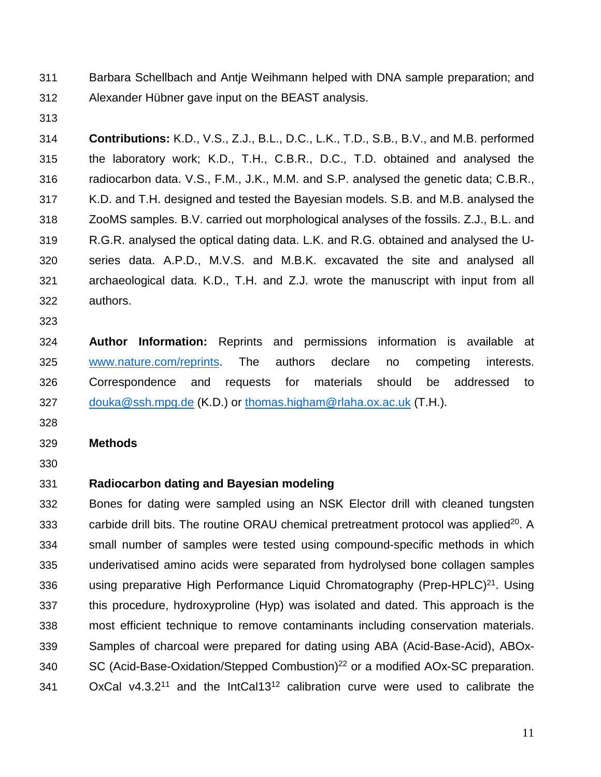Barbara Schellbach and Antje Weihmann helped with DNA sample preparation; and Alexander Hübner gave input on the BEAST analysis.

 **Contributions:** K.D., V.S., Z.J., B.L., D.C., L.K., T.D., S.B., B.V., and M.B. performed the laboratory work; K.D., T.H., C.B.R., D.C., T.D. obtained and analysed the radiocarbon data. V.S., F.M., J.K., M.M. and S.P. analysed the genetic data; C.B.R., K.D. and T.H. designed and tested the Bayesian models. S.B. and M.B. analysed the ZooMS samples. B.V. carried out morphological analyses of the fossils. Z.J., B.L. and R.G.R. analysed the optical dating data. L.K. and R.G. obtained and analysed the U- series data. A.P.D., M.V.S. and M.B.K. excavated the site and analysed all archaeological data. K.D., T.H. and Z.J. wrote the manuscript with input from all authors.

 **Author Information:** Reprints and permissions information is available at [www.nature.com/reprints.](http://www.nature.com/reprints) The authors declare no competing interests. Correspondence and requests for materials should be addressed to [douka@ssh.mpg.de](mailto:katerina.douka@ssh.mpg.de) (K.D.) or [thomas.higham@rlaha.ox.ac.uk](mailto:Thomas.higham@rlaha.ox.ac.uk) (T.H.).

## **Methods**

# **Radiocarbon dating and Bayesian modeling**

 Bones for dating were sampled using an NSK Elector drill with cleaned tungsten carbide drill bits. The routine ORAU chemical pretreatment protocol was applied<sup>20</sup>. A small number of samples were tested using compound-specific methods in which underivatised amino acids were separated from hydrolysed bone collagen samples 336 using preparative High Performance Liquid Chromatography (Prep-HPLC)<sup>21</sup>. Using this procedure, hydroxyproline (Hyp) was isolated and dated. This approach is the most efficient technique to remove contaminants including conservation materials. Samples of charcoal were prepared for dating using ABA (Acid-Base-Acid), ABOx-340 SC (Acid-Base-Oxidation/Stepped Combustion)<sup>22</sup> or a modified AOx-SC preparation. OxCal v4.3.2<sup>11</sup> and the IntCal13<sup>12</sup> calibration curve were used to calibrate the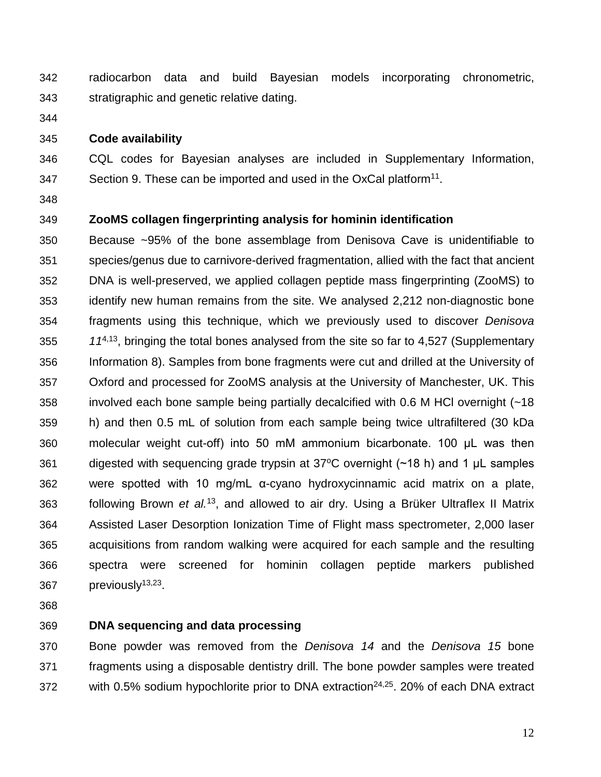radiocarbon data and build Bayesian models incorporating chronometric, stratigraphic and genetic relative dating.

#### **Code availability**

 CQL codes for Bayesian analyses are included in Supplementary Information, Section 9. These can be imported and used in the OxCal platform<sup>11</sup>.

## **ZooMS collagen fingerprinting analysis for hominin identification**

 Because ~95% of the bone assemblage from Denisova Cave is unidentifiable to species/genus due to carnivore-derived fragmentation, allied with the fact that ancient DNA is well-preserved, we applied collagen peptide mass fingerprinting (ZooMS) to identify new human remains from the site. We analysed 2,212 non-diagnostic bone fragments using this technique, which we previously used to discover *Denisova*  $11^{4,13}$ , bringing the total bones analysed from the site so far to 4,527 (Supplementary Information 8). Samples from bone fragments were cut and drilled at the University of Oxford and processed for ZooMS analysis at the University of Manchester, UK. This involved each bone sample being partially decalcified with 0.6 M HCl overnight (~18 h) and then 0.5 mL of solution from each sample being twice ultrafiltered (30 kDa molecular weight cut-off) into 50 mM ammonium bicarbonate. 100 μL was then 361 digested with sequencing grade trypsin at  $37^{\circ}$ C overnight (~18 h) and 1 µL samples were spotted with 10 mg/mL α-cyano hydroxycinnamic acid matrix on a plate, 363 following Brown *et al.*<sup>13</sup>, and allowed to air dry. Using a Brüker Ultraflex II Matrix Assisted Laser Desorption Ionization Time of Flight mass spectrometer, 2,000 laser acquisitions from random walking were acquired for each sample and the resulting spectra were screened for hominin collagen peptide markers published  $previously<sup>13,23</sup>$ .

## **DNA sequencing and data processing**

 Bone powder was removed from the *Denisova 14* and the *Denisova 15* bone fragments using a disposable dentistry drill. The bone powder samples were treated 372 with 0.5% sodium hypochlorite prior to DNA extraction<sup>24,25</sup> 20% of each DNA extract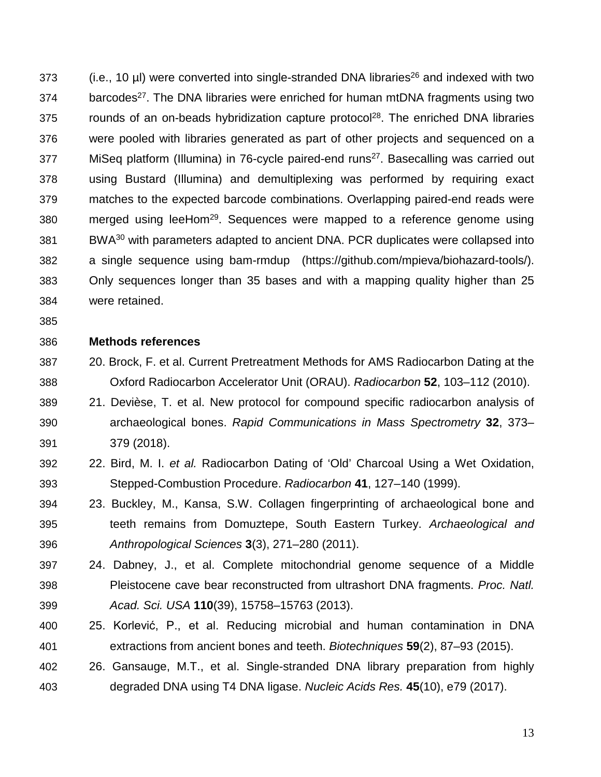373 (i.e., 10 µl) were converted into single-stranded DNA libraries<sup>26</sup> and indexed with two 374 barcodes<sup>27</sup>. The DNA libraries were enriched for human mtDNA fragments using two 375 . The enriched DNA libraries on-beads hybridization capture protocol<sup>28</sup>. The enriched DNA libraries were pooled with libraries generated as part of other projects and sequenced on a 377 MiSeq platform (Illumina) in 76-cycle paired-end runs<sup>27</sup>. Basecalling was carried out using Bustard (Illumina) and demultiplexing was performed by requiring exact matches to the expected barcode combinations. Overlapping paired-end reads were merged using leeHom<sup>29</sup>. Sequences were mapped to a reference genome using BWA30 with parameters adapted to ancient DNA. PCR duplicates were collapsed into a single sequence using bam-rmdup (https://github.com/mpieva/biohazard-tools/). Only sequences longer than 35 bases and with a mapping quality higher than 25 were retained.

#### **Methods references**

- 20. Brock, F. et al. Current Pretreatment Methods for AMS Radiocarbon Dating at the Oxford Radiocarbon Accelerator Unit (ORAU). *Radiocarbo[n](http://paperpile.com/b/G7neBz/Opwq)* **[52](http://paperpile.com/b/G7neBz/Opwq)**, 103–112 (2010).
- 21. Devièse, T. et al. New protocol for compound specific radiocarbon analysis of archaeological bones. *Rapid Communications in Mass Spectrometry* **32**, 373– 379 (2018).
- 22. Bird, M. I. *[et al.](http://paperpile.com/b/G7neBz/VPXe)* Radiocarbon Dating of 'Old' Charcoal Using a Wet Oxidation, Stepped-Combustion Procedure. *Radiocarbon* **[4](http://paperpile.com/b/G7neBz/VPXe)1**, 127–140 (1999).
- 23. Buckley, M., Kansa, S.W. Collagen fingerprinting of archaeological bone and teeth remains from Domuztepe, South Eastern Turkey. *Archaeological and Anthropological Sciences* **3**(3), 271–280 (2011).
- 24. Dabney, J., et al. Complete mitochondrial genome sequence of a Middle Pleistocene cave bear reconstructed from ultrashort DNA fragments. *Proc. Natl. Acad. Sci. USA* **110**(39), 15758–15763 (2013).
- 25. Korlević, P., et al. Reducing microbial and human contamination in DNA extractions from ancient bones and teeth. *Biotechniques* **59**(2), 87–93 (2015).
- 26. Gansauge, M.T., et al. Single-stranded DNA library preparation from highly degraded DNA using T4 DNA ligase. *Nucleic Acids Res.* **45**(10), e79 (2017).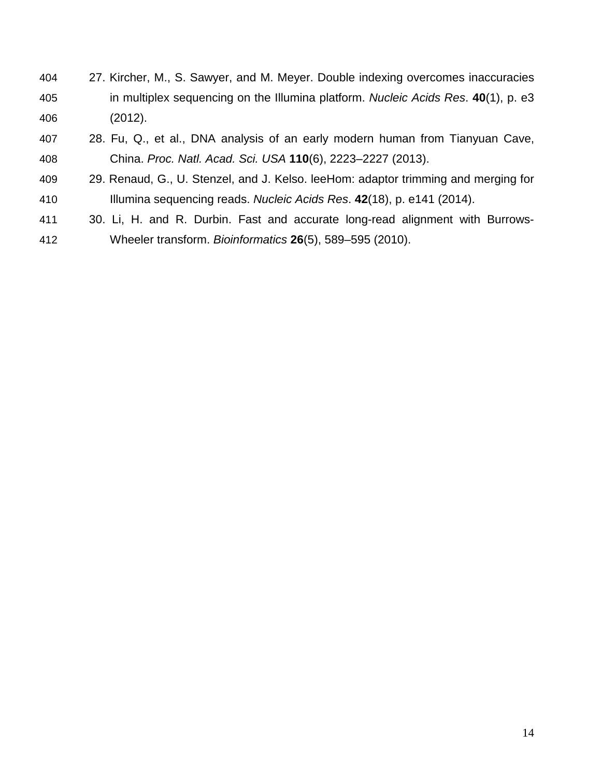- 27. Kircher, M., S. Sawyer, and M. Meyer. Double indexing overcomes inaccuracies in multiplex sequencing on the Illumina platform. *Nucleic Acids Res*. **40**(1), p. e3 (2012).
- 28. Fu, Q., et al., DNA analysis of an early modern human from Tianyuan Cave, China. *Proc. Natl. Acad. Sci. USA* **110**(6), 2223–2227 (2013).
- 29. Renaud, G., U. Stenzel, and J. Kelso. leeHom: adaptor trimming and merging for Illumina sequencing reads. *Nucleic Acids Res*. **42**(18), p. e141 (2014).
- 30. Li, H. and R. Durbin. Fast and accurate long-read alignment with Burrows-Wheeler transform. *Bioinformatics* **26**(5), 589–595 (2010).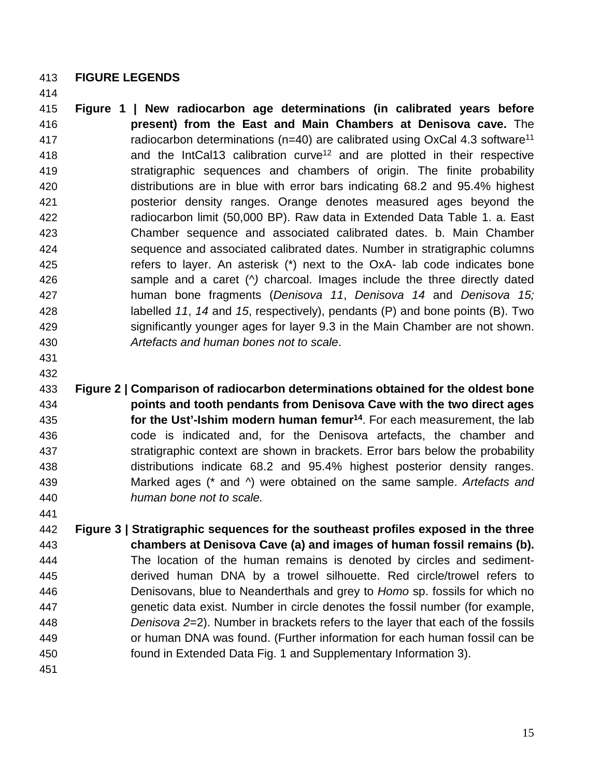### **FIGURE LEGENDS**

 **Figure 1 | New radiocarbon age determinations (in calibrated years before present) from the East and Main Chambers at Denisova cave.** The 417 radiocarbon determinations (n=40) are calibrated using OxCal 4.3 software<sup>11</sup> **and the IntCal13 calibration curve<sup>12</sup> and are plotted in their respective**  stratigraphic sequences and chambers of origin. The finite probability distributions are in blue with error bars indicating 68.2 and 95.4% highest posterior density ranges. Orange denotes measured ages beyond the radiocarbon limit (50,000 BP). Raw data in Extended Data Table 1. a. East Chamber sequence and associated calibrated dates. b. Main Chamber sequence and associated calibrated dates. Number in stratigraphic columns refers to layer. An asterisk (\*) next to the OxA- lab code indicates bone sample and a caret (*^)* charcoal. Images include the three directly dated human bone fragments (*Denisova 11*, *Denisova 14* and *Denisova 15;*  labelled *11*, *14* and *15*, respectively), pendants (P) and bone points (B). Two significantly younger ages for layer 9.3 in the Main Chamber are not shown. *Artefacts and human bones not to scale*.

 

 **Figure 2 | Comparison of radiocarbon determinations obtained for the oldest bone points and tooth pendants from Denisova Cave with the two direct ages for the Ust'-Ishim modern human femur<sup>14</sup>.** For each measurement, the lab code is indicated and, for the Denisova artefacts, the chamber and stratigraphic context are shown in brackets. Error bars below the probability distributions indicate 68.2 and 95.4% highest posterior density ranges. Marked ages (\* and ^) were obtained on the same sample. *Artefacts and human bone not to scale.*

 **Figure 3 | Stratigraphic sequences for the southeast profiles exposed in the three chambers at Denisova Cave (a) and images of human fossil remains (b).** The location of the human remains is denoted by circles and sediment- derived human DNA by a trowel silhouette. Red circle/trowel refers to Denisovans, blue to Neanderthals and grey to *Homo* sp. fossils for which no genetic data exist. Number in circle denotes the fossil number (for example, *Denisova 2*=2). Number in brackets refers to the layer that each of the fossils or human DNA was found. (Further information for each human fossil can be found in Extended Data Fig. 1 and Supplementary Information 3).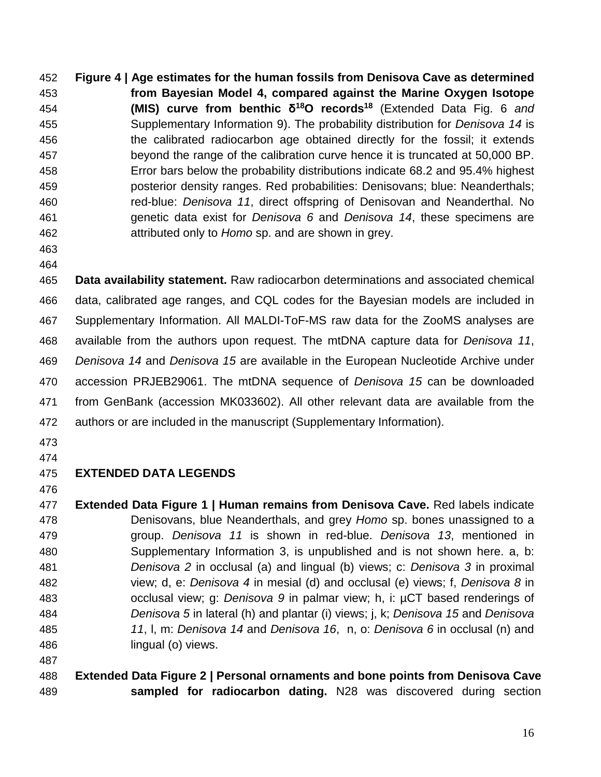**Figure 4 | Age estimates for the human fossils from Denisova Cave as determined from Bayesian Model 4, compared against the Marine Oxygen Isotope (MIS) curve from benthic δ18O records18** (Extended Data Fig. 6 *and* Supplementary Information 9). The probability distribution for *Denisova 14* is the calibrated radiocarbon age obtained directly for the fossil; it extends beyond the range of the calibration curve hence it is truncated at 50,000 BP. Error bars below the probability distributions indicate 68.2 and 95.4% highest posterior density ranges. Red probabilities: Denisovans; blue: Neanderthals; red-blue: *Denisova 11*, direct offspring of Denisovan and Neanderthal. No genetic data exist for *Denisova 6* and *Denisova 14*, these specimens are attributed only to *Homo* sp. and are shown in grey.

- 
- 

 **Data availability statement.** Raw radiocarbon determinations and associated chemical data, calibrated age ranges, and CQL codes for the Bayesian models are included in Supplementary Information. All MALDI-ToF-MS raw data for the ZooMS analyses are available from the authors upon request. The mtDNA capture data for *Denisova 11*, *Denisova 14* and *Denisova 15* are available in the European Nucleotide Archive under accession PRJEB29061. The mtDNA sequence of *Denisova 15* can be downloaded from GenBank (accession MK033602). All other relevant data are available from the authors or are included in the manuscript (Supplementary Information).

- 
- 

# **EXTENDED DATA LEGENDS**

 **Extended Data Figure 1 | Human remains from Denisova Cave.** Red labels indicate Denisovans, blue Neanderthals, and grey *Homo* sp. bones unassigned to a group. *Denisova 11* is shown in red-blue. *Denisova 13*, mentioned in Supplementary Information 3, is unpublished and is not shown here. a, b: *Denisova 2* in occlusal (a) and lingual (b) views; c: *Denisova 3* in proximal view; d, e: *Denisova 4* in mesial (d) and occlusal (e) views; f, *Denisova 8* in occlusal view; g: *Denisova 9* in palmar view; h, i: µCT based renderings of *Denisova 5* in lateral (h) and plantar (i) views; j, k; *Denisova 15* and *Denisova 11*, l, m: *Denisova 14* and *Denisova 16*, n, o: *Denisova 6* in occlusal (n) and lingual (o) views.

# **Extended Data Figure 2 | Personal ornaments and bone points from Denisova Cave sampled for radiocarbon dating.** N28 was discovered during section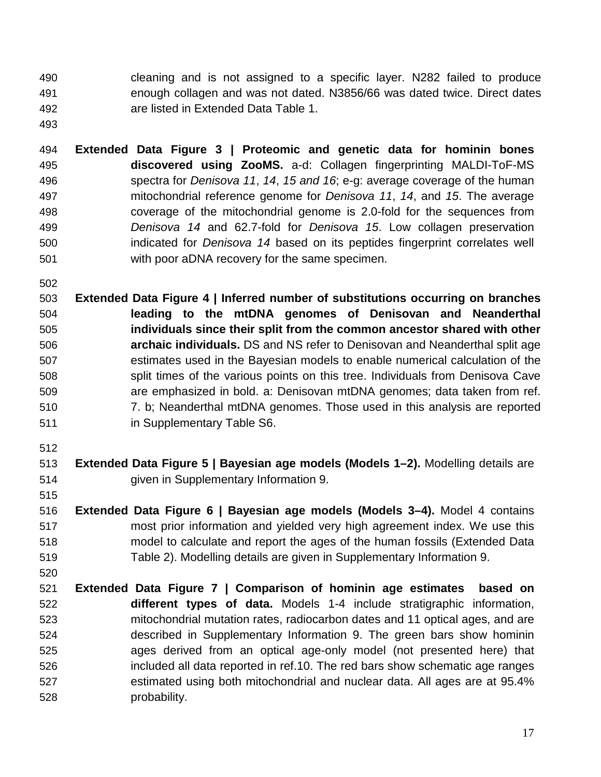cleaning and is not assigned to a specific layer. N282 failed to produce enough collagen and was not dated. N3856/66 was dated twice. Direct dates are listed in Extended Data Table 1.

 **Extended Data Figure 3 | Proteomic and genetic data for hominin bones discovered using ZooMS.** a-d: Collagen fingerprinting MALDI-ToF-MS spectra for *Denisova 11*, *14*, *15 and 16*; e-g: average coverage of the human mitochondrial reference genome for *Denisova 11*, *14*, and *15*. The average coverage of the mitochondrial genome is 2.0-fold for the sequences from *Denisova 14* and 62.7-fold for *Denisova 15*. Low collagen preservation indicated for *Denisova 14* based on its peptides fingerprint correlates well with poor aDNA recovery for the same specimen.

 **Extended Data Figure 4 | Inferred number of substitutions occurring on branches leading to the mtDNA genomes of Denisovan and Neanderthal individuals since their split from the common ancestor shared with other archaic individuals.** DS and NS refer to Denisovan and Neanderthal split age estimates used in the Bayesian models to enable numerical calculation of the split times of the various points on this tree. Individuals from Denisova Cave are emphasized in bold. a: Denisovan mtDNA genomes; data taken from ref. 7. b; Neanderthal mtDNA genomes. Those used in this analysis are reported in Supplementary Table S6.

- **Extended Data Figure 5 | Bayesian age models (Models 1–2).** Modelling details are given in Supplementary Information 9.
- **Extended Data Figure 6 | Bayesian age models (Models 3–4).** Model 4 contains most prior information and yielded very high agreement index. We use this model to calculate and report the ages of the human fossils (Extended Data Table 2). Modelling details are given in Supplementary Information 9.
- **Extended Data Figure 7 | Comparison of hominin age estimates based on different types of data.** Models 1-4 include stratigraphic information, mitochondrial mutation rates, radiocarbon dates and 11 optical ages, and are described in Supplementary Information 9. The green bars show hominin ages derived from an optical age-only model (not presented here) that included all data reported in ref.10. The red bars show schematic age ranges estimated using both mitochondrial and nuclear data. All ages are at 95.4% probability.